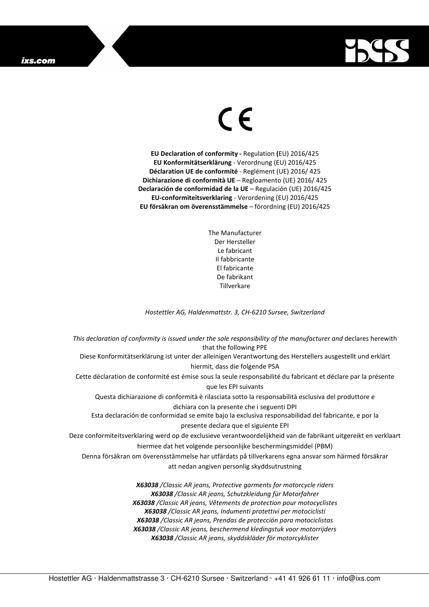## ixs.com



## $\in$   $\epsilon$

**EU Declaration of conformity -** Regulation **(**EU) 2016/425 **EU Konformitätserklärung** - Verordnung (EU) 2016/425 **Déclaration UE de conformité** - Reglément (UE) 2016/ 425 **Dichiarazione di conformità UE** – Regloamento (UE) 2016/ 425 **Declaración de conformidad de la UE** – Regulación (UE) 2016/425 **EU-conformiteitsverklaring** - Verordening (EU) 2016/425 **EU försäkran om överensstämmelse** – förordning (EU) 2016/425

> The Manufacturer Der Hersteller Le fabricant Il fabbricante El fabricante De fabrikant **Tillverkare**

*Hostettler AG, Haldenmattstr. 3, CH-6210 Sursee, Switzerland* 

*This declaration of conformity is issued under the sole responsibility of the manufacturer and* declares herewith that the following PPE Diese Konformitätserklärung ist unter der alleinigen Verantwortung des Herstellers ausgestellt und erklärt hiermit, dass die folgende PSA Cette déclaration de conformité est émise sous la seule responsabilité du fabricant et déclare par la présente que les EPI suivants Questa dichiarazione di conformità è rilasciata sotto la responsabilità esclusiva del produttore e dichiara con la presente che i seguenti DPI Esta declaración de conformidad se emite bajo la exclusiva responsabilidad del fabricante, e por la presente declara que el siguiente EPI Deze conformiteitsverklaring werd op de exclusieve verantwoordelijkheid van de fabrikant uitgereikt en verklaart hiermee dat het volgende persoonlijke beschermingsmiddel (PBM) Denna försäkran om överensstämmelse har utfärdats på tillverkarens egna ansvar som härmed försäkrar att nedan angiven personlig skyddsutrustning *X63038 /Classic AR jeans, Protective garments for motorcycle riders X63038 /Classic AR jeans, Schutzkleidung für Motorfahrer X63038 /Classic AR jeans, Vêtements de protection pour motocyclistes X63038 /Classic AR jeans, Indumenti protettivi per motociclisti X63038 /Classic AR jeans, Prendas de protección para motociclistas* 

*X63038 /Classic AR jeans, beschermend kledingstuk voor motorrijders X63038 /Classic AR jeans, skyddskläder för motorcyklister*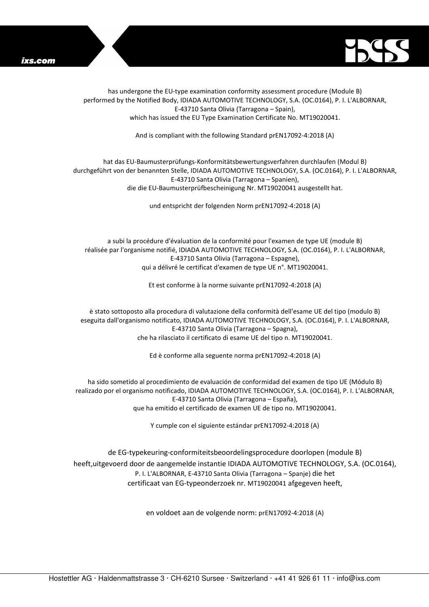



has undergone the EU-type examination conformity assessment procedure (Module B) performed by the Notified Body, IDIADA AUTOMOTIVE TECHNOLOGY, S.A. (OC.0164), P. I. L'ALBORNAR, E-43710 Santa Olivia (Tarragona – Spain), which has issued the EU Type Examination Certificate No. MT19020041.

And is compliant with the following Standard prEN17092-4:2018 (A)

## hat das EU-Baumusterprüfungs-Konformitätsbewertungsverfahren durchlaufen (Modul B) durchgeführt von der benannten Stelle, IDIADA AUTOMOTIVE TECHNOLOGY, S.A. (OC.0164), P. I. L'ALBORNAR, E-43710 Santa Olivia (Tarragona – Spanien), die die EU-Baumusterprüfbescheinigung Nr. MT19020041 ausgestellt hat.

und entspricht der folgenden Norm prEN17092-4:2018 (A)

a subi la procédure d'évaluation de la conformité pour l'examen de type UE (module B) réalisée par l'organisme notifié, IDIADA AUTOMOTIVE TECHNOLOGY, S.A. (OC.0164), P. I. L'ALBORNAR, E-43710 Santa Olivia (Tarragona – Espagne), qui a délivré le certificat d'examen de type UE n°. MT19020041.

Et est conforme à la norme suivante prEN17092-4:2018 (A)

è stato sottoposto alla procedura di valutazione della conformità dell'esame UE del tipo (modulo B) eseguita dall'organismo notificato, IDIADA AUTOMOTIVE TECHNOLOGY, S.A. (OC.0164), P. I. L'ALBORNAR, E-43710 Santa Olivia (Tarragona – Spagna), che ha rilasciato il certificato di esame UE del tipo n. MT19020041.

Ed è conforme alla seguente norma prEN17092-4:2018 (A)

ha sido sometido al procedimiento de evaluación de conformidad del examen de tipo UE (Módulo B) realizado por el organismo notificado, IDIADA AUTOMOTIVE TECHNOLOGY, S.A. (OC.0164), P. I. L'ALBORNAR, E-43710 Santa Olivia (Tarragona – España), que ha emitido el certificado de examen UE de tipo no. MT19020041.

Y cumple con el siguiente estándar prEN17092-4:2018 (A)

de EG-typekeuring-conformiteitsbeoordelingsprocedure doorlopen (module B) heeft,uitgevoerd door de aangemelde instantie IDIADA AUTOMOTIVE TECHNOLOGY, S.A. (OC.0164), P. I. L'ALBORNAR, E-43710 Santa Olivia (Tarragona – Spanje) die het certificaat van EG-typeonderzoek nr. MT19020041 afgegeven heeft,

en voldoet aan de volgende norm: prEN17092-4:2018 (A)